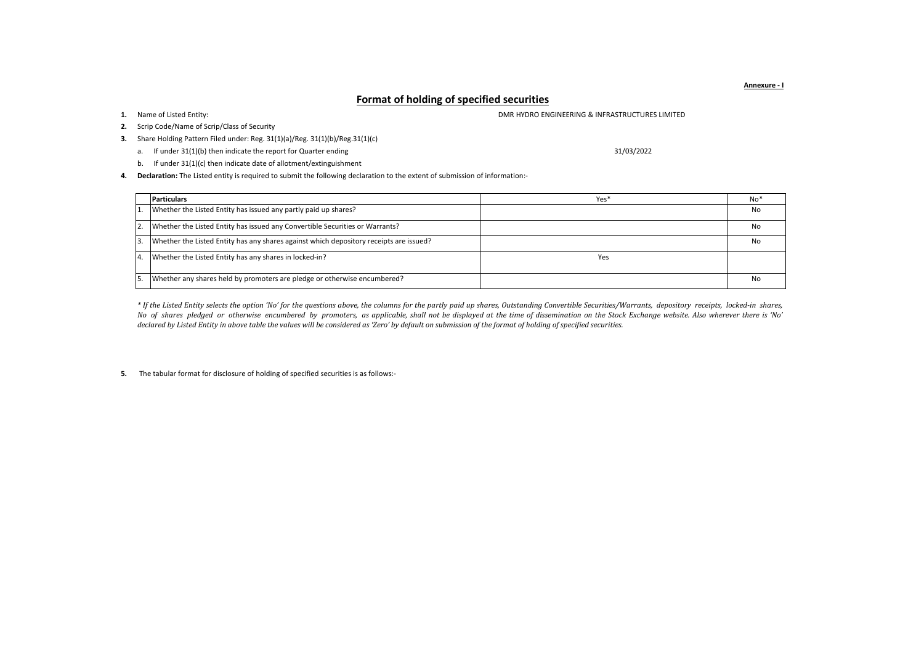**Format of holding of specified securities**

1. Name of Listed Entity:

**2.** Scrip Code/Name of Scrip/Class of Security

**3.** Share Holding Pattern Filed under: Reg. 31(1)(a)/Reg. 31(1)(b)/Reg.31(1)(c)

a. If under 31(1)(b) then indicate the report for Quarter ending

31/03/2022

**1.** DMR HYDRO ENGINEERING & INFRASTRUCTURES LIMITED

b. If under 31(1)(c) then indicate date of allotment/extinguishment

**4. Declaration:** The Listed entity is required to submit the following declaration to the extent of submission of information:-

|    | <b>Particulars</b>                                                                     | Yes* | No* |
|----|----------------------------------------------------------------------------------------|------|-----|
|    | Whether the Listed Entity has issued any partly paid up shares?                        |      | No  |
|    | Whether the Listed Entity has issued any Convertible Securities or Warrants?           |      | No  |
|    | Whether the Listed Entity has any shares against which depository receipts are issued? |      | No  |
| 4. | Whether the Listed Entity has any shares in locked-in?                                 | Yes  |     |
|    | Whether any shares held by promoters are pledge or otherwise encumbered?               |      | No  |

\* If the Listed Entity selects the option 'No' for the questions above, the columns for the partly paid up shares, Outstanding Convertible Securities/Warrants, depository receipts, locked-in shares, No of shares pledged or otherwise encumbered by promoters, as applicable, shall not be displayed at the time of dissemination on the Stock Exchange website. Also wherever there is 'No' *declared by Listed Entity in above table the values will be considered as 'Zero' by default on submission of the format of holding of specified securities.*

**5.** The tabular format for disclosure of holding of specified securities is as follows:-

**Annexure - I**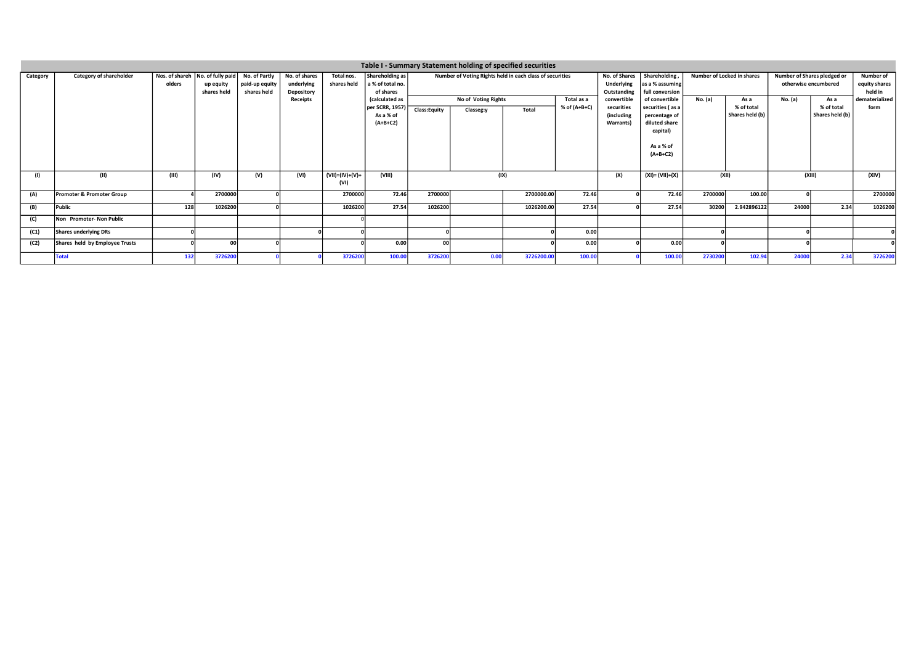|          | Table I - Summary Statement holding of specified securities |        |                                                                |                                                |                                           |                           |                                                  |                                   |                                                          |             |                |                                                    |                                                           |                            |                               |                                                     |                                              |              |
|----------|-------------------------------------------------------------|--------|----------------------------------------------------------------|------------------------------------------------|-------------------------------------------|---------------------------|--------------------------------------------------|-----------------------------------|----------------------------------------------------------|-------------|----------------|----------------------------------------------------|-----------------------------------------------------------|----------------------------|-------------------------------|-----------------------------------------------------|----------------------------------------------|--------------|
| Category | Category of shareholder                                     | olders | Nos. of shareh   No. of fully paid<br>up equity<br>shares held | No. of Partly<br>paid-up equity<br>shares held | No. of shares<br>underlying<br>Depository | Total nos.<br>shares held | Shareholding as<br>a % of total no.<br>of shares |                                   | Number of Voting Rights held in each class of securities |             |                | No. of Shares<br>Underlying<br>Outstanding         | <b>Shareholding</b><br>as a % assuming<br>full conversion | Number of Locked in shares |                               | Number of Shares pledged or<br>otherwise encumbered | <b>Number of</b><br>equity shares<br>held in |              |
|          |                                                             |        |                                                                |                                                | Receipts                                  |                           | (calculated as                                   | No of Voting Rights<br>Total as a |                                                          | convertible | of convertible | No. (a)                                            | As a                                                      | No. (a)                    | As a                          | dematerialized                                      |                                              |              |
|          |                                                             |        |                                                                |                                                |                                           |                           | per SCRR, 1957)<br>As a % of<br>$(A+B+C2)$       | Class:Equity                      | Classeg:y                                                | Total       | % of (A+B+C)   | securities<br><i>lincluding</i><br><b>Warrants</b> | securities (as a<br>percentage of<br>diluted share        |                            | % of total<br>Shares held (b) |                                                     | % of total<br>Shares held (b)                | form         |
|          |                                                             |        |                                                                |                                                |                                           |                           |                                                  |                                   |                                                          |             |                |                                                    | capital)<br>As a % of<br>$(A+B+C2)$                       |                            |                               |                                                     |                                              |              |
|          |                                                             |        |                                                                |                                                |                                           |                           |                                                  |                                   |                                                          |             |                |                                                    |                                                           |                            |                               |                                                     |                                              |              |
| (1)      | (II)                                                        | (III)  | (IV)                                                           | (V)                                            | (VI)                                      | $(VII)=(IV)+(V)+$<br>(VI) | (VIII)                                           |                                   | (IX)                                                     |             |                | (X)                                                | $(XI) = (VII)+(X)$                                        | (XII)                      |                               | (XIII)                                              |                                              | (XIV)        |
| (A)      | Promoter & Promoter Group                                   |        | 2700000                                                        |                                                |                                           | 2700000                   | 72.46                                            | 2700000                           |                                                          | 2700000.00  | 72.46          |                                                    | 72.46                                                     | 2700000                    | 100.00                        |                                                     |                                              | 2700000      |
| (B)      | Public                                                      | 128    | 1026200                                                        |                                                |                                           | 1026200                   | 27.54                                            | 1026200                           |                                                          | 1026200.00  | 27.54          |                                                    | 27.54                                                     | 30200                      | 2.942896122                   | 24000                                               | 2.34                                         | 1026200      |
| (C)      | Non Promoter-Non Public                                     |        |                                                                |                                                |                                           |                           |                                                  |                                   |                                                          |             |                |                                                    |                                                           |                            |                               |                                                     |                                              |              |
| (C1)     | Shares underlying DRs                                       |        |                                                                |                                                |                                           |                           |                                                  |                                   |                                                          |             | 0.00           |                                                    |                                                           |                            |                               |                                                     |                                              | $\mathbf{0}$ |
| (C2)     | Shares held by Employee Trusts                              |        | nn                                                             |                                                |                                           |                           | 0.00                                             | ool                               |                                                          |             | 0.00           |                                                    | 0.00                                                      |                            |                               |                                                     |                                              |              |
|          | <b>Total</b>                                                | 132    | 3726200                                                        |                                                |                                           | 3726200                   | 100.00                                           | 3726200                           | 0.00                                                     | 3726200.00  | 100.00         |                                                    | 100.00                                                    | 2730200                    | 102.94                        | 24000                                               | 2.34                                         | 3726200      |
|          |                                                             |        |                                                                |                                                |                                           |                           |                                                  |                                   |                                                          |             |                |                                                    |                                                           |                            |                               |                                                     |                                              |              |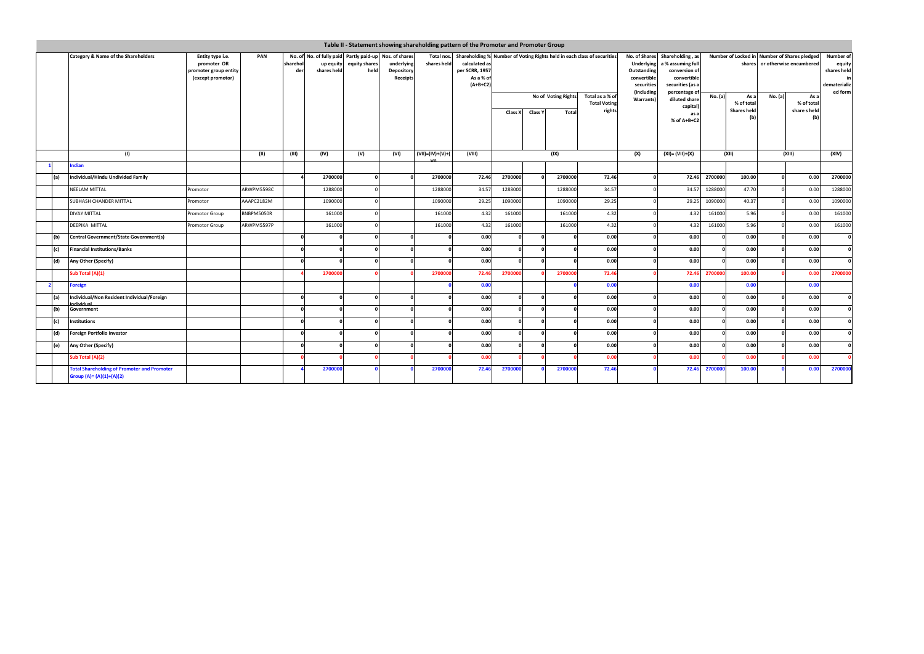|     |                                                                                |                                                                                      |            | Table II - Statement showing shareholding pattern of the Promoter and Promoter Group                  |          |                       |                                      |                           |                                                            |                                                                         |            |                                                                                                                                                                                                            |                                                  |           |                                                  |                                                                                |                                          |                                                               |                                    |              |
|-----|--------------------------------------------------------------------------------|--------------------------------------------------------------------------------------|------------|-------------------------------------------------------------------------------------------------------|----------|-----------------------|--------------------------------------|---------------------------|------------------------------------------------------------|-------------------------------------------------------------------------|------------|------------------------------------------------------------------------------------------------------------------------------------------------------------------------------------------------------------|--------------------------------------------------|-----------|--------------------------------------------------|--------------------------------------------------------------------------------|------------------------------------------|---------------------------------------------------------------|------------------------------------|--------------|
|     | Category & Name of the Shareholders                                            | PAN<br>Entity type i.e.<br>promoter OR<br>promoter group entity<br>(except promotor) |            | No. of No. of fully paid Partly paid-up Nos. of shares<br>sharehol<br>up equity<br>shares held<br>der |          | equity shares<br>held | underlying<br>Depository<br>Receipts | Total nos.<br>shares held | calculated as<br>per SCRR, 1957<br>As a % of<br>$(A+B+C2)$ | Shareholding % Number of Voting Rights held in each class of securities |            | No. of Shares<br>Shareholding, as<br><b>Underlying</b><br>a % assuming full<br>Outstanding<br>conversion of<br>convertible<br>convertible<br>securities<br>securities (as a<br>(including<br>percentage of |                                                  |           |                                                  | Number of Locked in Number of Shares pledged<br>shares or otherwise encumbered |                                          | Number of<br>equity<br>shares held<br>dematerializ<br>ed form |                                    |              |
|     |                                                                                |                                                                                      |            |                                                                                                       |          |                       |                                      |                           |                                                            | Class X                                                                 | Class Y    | No of Voting Rights<br>Total                                                                                                                                                                               | Total as a % of<br><b>Total Voting</b><br>rights | Warrants) | diluted share<br>capital)<br>as a<br>% of A+B+C2 | No. (a)                                                                        | As a<br>% of total<br><b>Shares held</b> | No. (a)                                                       | As a<br>% of total<br>share s held |              |
|     | (1)<br>ndian                                                                   |                                                                                      | (11)       | (III)                                                                                                 | (IV)     | (V)                   | (VI)                                 | (VII)=(IV)+(V)+           | (VIII)                                                     |                                                                         |            | (IX)                                                                                                                                                                                                       |                                                  | (X)       | $(XI) = (VII)+(X)$                               |                                                                                | (XII)                                    |                                                               | (XIII)                             | (XIV)        |
| (a) | Individual/Hindu Undivided Family                                              |                                                                                      |            |                                                                                                       | 2700000  |                       |                                      | 2700000                   | 72.46                                                      | 2700000                                                                 |            | 2700000                                                                                                                                                                                                    | 72.46                                            |           | 72.46                                            | 2700000                                                                        | 100.00                                   |                                                               | 0.00                               | 2700000      |
|     | NEELAM MITTAL                                                                  | Promotor                                                                             | ARWPM5598C |                                                                                                       | 1288000  |                       |                                      | 1288000                   | 34.57                                                      | 1288000                                                                 |            | 1288000                                                                                                                                                                                                    | 34.57                                            |           | 34.57                                            | 1288000                                                                        | 47.70                                    |                                                               | 0.00                               | 1288000      |
|     | SUBHASH CHANDER MITTAL                                                         | Promotor                                                                             | AAAPC2182M |                                                                                                       | 1090000  |                       |                                      | 1090000                   | 29.25                                                      | 1090000                                                                 |            | 1090000                                                                                                                                                                                                    | 29.25                                            |           | 29.25                                            | 1090000                                                                        | 40.37                                    |                                                               | 0.00                               | 1090000      |
|     | DIVAY MITTAL                                                                   | Promotor Group                                                                       | BNBPM5050R |                                                                                                       | 161000   |                       |                                      | 161000                    | 4.32                                                       | 161000                                                                  |            | 161000                                                                                                                                                                                                     | 4.32                                             |           | 4.32                                             | 161000                                                                         | 5.96                                     |                                                               | 0.00                               | 161000       |
|     | DEEPIKA MITTAL                                                                 | Promotor Group                                                                       | ARWPM5597P |                                                                                                       | 161000   |                       |                                      | 161000                    | 4.32                                                       | 161000                                                                  |            | 161000                                                                                                                                                                                                     | 4.32                                             |           | 4.32                                             | 161000                                                                         | 5.96                                     |                                                               | 0.00                               | 161000       |
| (b) | <b>Central Government/State Government(s)</b>                                  |                                                                                      |            | $\Omega$                                                                                              |          |                       | $\Omega$                             |                           | 0.00                                                       | $\sqrt{2}$                                                              | $\Omega$   |                                                                                                                                                                                                            | 0.00                                             |           | 0.00                                             |                                                                                | 0.00                                     |                                                               | 0.00                               | $\Omega$     |
| (c) | <b>Financial Institutions/Banks</b>                                            |                                                                                      |            | $\Omega$                                                                                              | $\Omega$ |                       | $\Omega$                             |                           | 0.00                                                       |                                                                         |            |                                                                                                                                                                                                            | 0.00                                             |           | 0.00                                             |                                                                                | 0.00                                     |                                                               | 0.00                               | $\mathbf{a}$ |
| (d) | Any Other (Specify)                                                            |                                                                                      |            |                                                                                                       |          |                       |                                      |                           | 0.00                                                       |                                                                         |            |                                                                                                                                                                                                            | 0.00                                             |           | 0.00                                             |                                                                                | 0.00                                     |                                                               | 0.00                               |              |
|     | Sub Total (A)(1)                                                               |                                                                                      |            |                                                                                                       | 2700000  |                       |                                      | 270000                    | 72.46                                                      | 270000                                                                  |            | 270000                                                                                                                                                                                                     | 72.46                                            |           | 72.46                                            | 270000                                                                         | 100.00                                   |                                                               | 0.00                               | 2700000      |
|     | <b>Foreign</b>                                                                 |                                                                                      |            |                                                                                                       |          |                       |                                      |                           | 0.00                                                       |                                                                         |            |                                                                                                                                                                                                            | 0.00                                             |           | 0.00                                             |                                                                                | 0.00                                     |                                                               | 0.00                               |              |
| (a) | Individual/Non Resident Individual/Foreign                                     |                                                                                      |            | $\Omega$                                                                                              |          |                       |                                      |                           | 0.00                                                       |                                                                         |            |                                                                                                                                                                                                            | 0.00                                             |           | 0.00                                             |                                                                                | 0.00                                     |                                                               | 0.00                               | $\Omega$     |
| (b) | Government                                                                     |                                                                                      |            | $\sqrt{ }$                                                                                            |          |                       |                                      |                           | 0.00                                                       |                                                                         | $\sqrt{2}$ |                                                                                                                                                                                                            | 0.00                                             |           | 0.00                                             |                                                                                | 0.00                                     |                                                               | 0.00                               | $\Omega$     |
| (c) | Institutions                                                                   |                                                                                      |            | $\sqrt{2}$                                                                                            |          |                       |                                      |                           | 0.00                                                       |                                                                         |            |                                                                                                                                                                                                            | 0.00                                             |           | 0.00                                             |                                                                                | 0.00                                     |                                                               | 0.00                               |              |
| (d) | <b>Foreign Portfolio Investor</b>                                              |                                                                                      |            |                                                                                                       |          |                       |                                      |                           | 0.00                                                       |                                                                         |            |                                                                                                                                                                                                            | 0.00                                             |           | 0.00                                             |                                                                                | 0.00                                     |                                                               | 0.00                               |              |
| (e) | Any Other (Specify)                                                            |                                                                                      |            | $\Omega$                                                                                              | $\Omega$ |                       |                                      |                           | 0.00                                                       |                                                                         |            |                                                                                                                                                                                                            | 0.00                                             |           | 0.00                                             |                                                                                | 0.00                                     |                                                               | 0.00                               |              |
|     | Sub Total (A)(2)                                                               |                                                                                      |            |                                                                                                       |          |                       |                                      |                           | 0.00                                                       |                                                                         |            |                                                                                                                                                                                                            | 0.00                                             |           | 0.00                                             |                                                                                | 0.00                                     |                                                               | 0.00                               |              |
|     | <b>Total Shareholding of Promoter and Promoter</b><br>Group (A)= (A)(1)+(A)(2) |                                                                                      |            |                                                                                                       | 270000   |                       |                                      | 270000                    | 72.46                                                      | 270000                                                                  |            | 270000                                                                                                                                                                                                     | 72.46                                            |           | 72.46                                            | 270000                                                                         | 100.00                                   |                                                               | 0.00                               | 2700000      |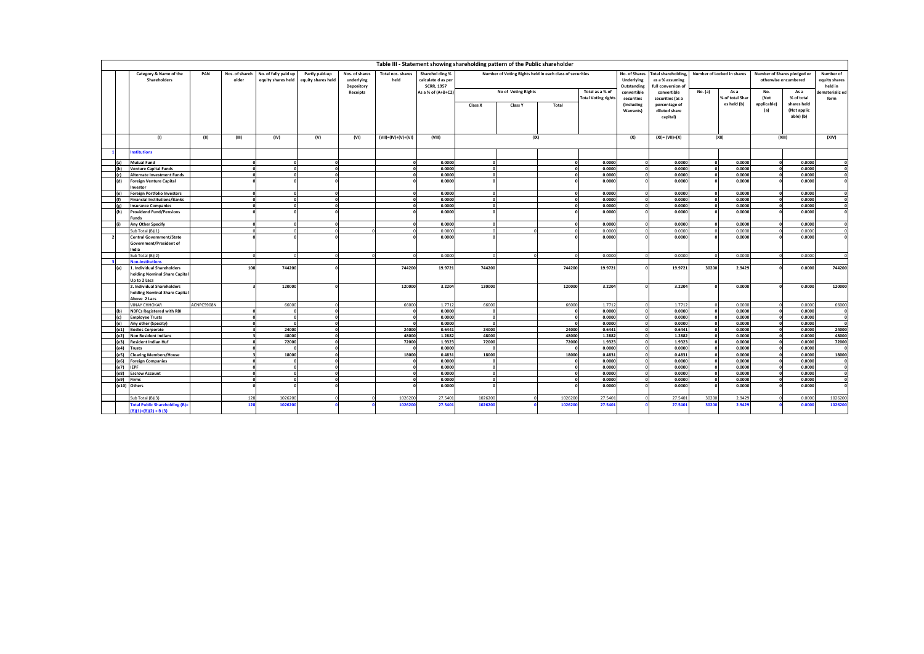|     |                                             |            |                         |                                            |                                      |                              |                           |                                       |            | Table III - Statement showing shareholding pattern of the Public shareholder |              |                            |                             |                                        |                        |                                |                     |                                                     |                              |
|-----|---------------------------------------------|------------|-------------------------|--------------------------------------------|--------------------------------------|------------------------------|---------------------------|---------------------------------------|------------|------------------------------------------------------------------------------|--------------|----------------------------|-----------------------------|----------------------------------------|------------------------|--------------------------------|---------------------|-----------------------------------------------------|------------------------------|
|     | Category & Name of the<br>Shareholders      | PAN        | Nos. of shareh<br>older | No. of fully paid up<br>equity shares held | Partly paid-up<br>equity shares held | Nos. of shares<br>underlying | Total nos, shares<br>held | Sharehol ding %<br>calculate d as per |            | Number of Voting Rights held in each class of securities                     |              |                            | No. of Shares<br>Underlying | Total shareholding.<br>as a % assuming |                        | Number of Locked in shares     |                     | Number of Shares pledged or<br>otherwise encumbered | Number of<br>equity shares   |
|     |                                             |            |                         |                                            |                                      | Depository                   |                           | <b>SCRR, 1957</b>                     |            |                                                                              |              |                            | Outstanding                 | full conversion of                     |                        |                                |                     |                                                     | held in                      |
|     |                                             |            |                         |                                            |                                      | Receipts                     |                           | As a % of (A+B+C2)                    |            | No of Voting Rights                                                          |              | Total as a % of            | convertible                 | convertible                            | No. (a)                | As a                           | No.                 | As a                                                | dematerializ ed              |
|     |                                             |            |                         |                                            |                                      |                              |                           |                                       |            |                                                                              |              | <b>Total Voting rights</b> | securities                  | securities (as a                       |                        | % of total Shar<br>es held (b) | (Not<br>applicable) | % of total<br>shares held                           | form                         |
|     |                                             |            |                         |                                            |                                      |                              |                           |                                       | Class X    | <b>Class Y</b>                                                               | Total        |                            | (including                  | percentage of<br>diluted share         |                        |                                | (a)                 | (Not applic                                         |                              |
|     |                                             |            |                         |                                            |                                      |                              |                           |                                       |            |                                                                              |              |                            | Warrants)                   | capital)                               |                        |                                |                     | able) (b)                                           |                              |
|     |                                             |            |                         |                                            |                                      |                              |                           |                                       |            |                                                                              |              |                            |                             |                                        |                        |                                |                     |                                                     |                              |
|     |                                             |            |                         |                                            |                                      |                              |                           |                                       |            |                                                                              |              |                            |                             |                                        |                        |                                |                     |                                                     |                              |
|     |                                             |            |                         |                                            |                                      |                              |                           |                                       |            |                                                                              |              |                            |                             |                                        |                        |                                |                     |                                                     |                              |
|     | (1)                                         | (II)       | (III)                   | (IV)                                       | (V)                                  | (VI)                         | (VII)=(IV)+(V)+(VI)       | (VIII)                                |            | (IX)                                                                         |              |                            | (X)                         | $(XI) = (VII)+(X)$                     |                        | (XII)                          |                     | (XIII)                                              | (XIV)                        |
|     | <b>nstitutions</b>                          |            |                         |                                            |                                      |                              |                           |                                       |            |                                                                              |              |                            |                             |                                        |                        |                                |                     |                                                     |                              |
|     | <b>Mutual Fund</b>                          |            |                         |                                            |                                      |                              |                           | 0.0000                                |            |                                                                              |              | 0.0000                     |                             | 0.0000                                 |                        | 0.0000                         |                     | 0.0000                                              |                              |
| (b) | <b>Venture Capital Funds</b>                |            |                         |                                            |                                      |                              |                           | 0.0000                                |            |                                                                              |              | 0.0000                     |                             | 0.0000                                 | $\sqrt{2}$             | 0.0000                         | $\mathbf{r}$        | 0.0000                                              | $\Omega$                     |
| (c) | <b>Alternate Investment Funds</b>           |            |                         |                                            |                                      |                              |                           | 0.0000                                |            |                                                                              |              | 0.0000                     |                             | 0.0000                                 |                        | 0.0000                         |                     | 0.0000                                              | $\mathbf{0}$                 |
| (d) | <b>Foreign Venture Capital</b>              |            |                         |                                            |                                      |                              |                           | 0.0000                                |            |                                                                              |              | 0.0000                     |                             | 0.0000                                 |                        | 0.0000                         |                     | 0.0000                                              | $\mathbf{r}$                 |
|     | Investor                                    |            |                         |                                            |                                      |                              |                           |                                       |            |                                                                              |              |                            |                             |                                        |                        |                                |                     |                                                     |                              |
|     | <b>Foreign Portfolio Investors</b>          |            |                         |                                            |                                      |                              |                           | 0.0000                                |            |                                                                              |              | 0.0000                     |                             | 0.0000                                 |                        | 0.0000                         |                     | 0.0000                                              |                              |
| (f) | <b>Financial Institutions/Banks</b>         |            |                         |                                            |                                      |                              |                           | 0.0000                                |            |                                                                              |              | 0.0000                     | $\Omega$                    | 0.0000                                 | $\sqrt{2}$             | 0.0000                         |                     | 0.0000                                              | $\mathbf{0}$                 |
|     | <b>Insurance Companies</b>                  |            |                         |                                            |                                      |                              |                           | 0.0000                                |            |                                                                              |              | 0.0000                     |                             | 0.0000                                 |                        | 0.0000                         |                     | 0.0000                                              | $\mathbf{r}$                 |
| (h) | <b>Providend Fund/Pensions</b><br>Funds     |            |                         |                                            |                                      |                              |                           | 0.0000                                |            |                                                                              |              | 0.0000                     |                             | 0.0000                                 |                        | 0.0000                         |                     | 0.0000                                              |                              |
|     | <b>Any Other Specify</b>                    |            |                         |                                            |                                      |                              |                           | 0.0000                                |            |                                                                              |              | 0.0000                     |                             | 0.0000                                 | $\sqrt{2}$             | 0.0000                         |                     | 0.0000                                              | $\Omega$                     |
|     | Sub Total (B)(1)                            |            |                         |                                            |                                      |                              |                           | 0.0000                                |            |                                                                              |              | 0.0000                     | $\sqrt{2}$                  | 0.0000                                 | $\Omega$               | 0.0000                         |                     | 0.0000                                              | $\Omega$                     |
|     | <b>Central Government/State</b>             |            |                         |                                            |                                      |                              |                           | 0.0000                                |            |                                                                              |              | 0.0000                     |                             | 0.0000                                 |                        | 0.0000                         |                     | 0.0000                                              | $\Omega$                     |
|     | Government/President of                     |            |                         |                                            |                                      |                              |                           |                                       |            |                                                                              |              |                            |                             |                                        |                        |                                |                     |                                                     |                              |
|     | India                                       |            |                         |                                            |                                      |                              |                           |                                       |            |                                                                              |              |                            |                             |                                        |                        |                                |                     |                                                     |                              |
|     | Sub Total (B)(2)<br><b>Non-Institutions</b> |            |                         |                                            |                                      |                              |                           | 0.0000                                |            |                                                                              |              | 0.0000                     |                             | 0.0000                                 |                        | 0.0000                         |                     | 0.0000                                              |                              |
|     | 1. Individual Shareholders                  |            | 108                     | 744200                                     |                                      |                              | 744200                    | 19.9721                               | 744200     |                                                                              | 744200       | 19.9721                    |                             | 19.9721                                | 30200                  | 2.9429                         |                     | 0.0000                                              | 744200                       |
|     | holding Nominal Share Capital               |            |                         |                                            |                                      |                              |                           |                                       |            |                                                                              |              |                            |                             |                                        |                        |                                |                     |                                                     |                              |
|     | Up to 2 Lacs                                |            |                         |                                            |                                      |                              |                           |                                       |            |                                                                              |              |                            |                             |                                        |                        |                                |                     |                                                     |                              |
|     | 2. Individual Shareholders                  |            |                         | 120000                                     |                                      |                              | 120000                    | 3.2204                                | 120000     |                                                                              | 120000       | 3.2204                     |                             | 3.2204                                 |                        | 0.0000                         |                     | 0.0000                                              | 120000                       |
|     | holding Nominal Share Capital               |            |                         |                                            |                                      |                              |                           |                                       |            |                                                                              |              |                            |                             |                                        |                        |                                |                     |                                                     |                              |
|     | Above 2 Lacs                                |            |                         |                                            |                                      |                              |                           |                                       |            |                                                                              |              |                            |                             |                                        |                        |                                |                     |                                                     |                              |
|     | <b>VINAY CHHOKAR</b>                        | ACNPC5908N |                         | 66000                                      |                                      |                              | 66000                     | 1.7712                                | 66000      |                                                                              | 66000        | 1.7712                     |                             | 1.7712                                 |                        | 0.0000                         |                     | 0.0000                                              | 66000                        |
| (b) | <b>NBFCs Registered with RBI</b>            |            |                         | $\sqrt{2}$                                 |                                      |                              |                           | 0.0000                                | $\sqrt{2}$ |                                                                              | $\mathbf{a}$ | 0.0000                     | $\sqrt{2}$                  | 0.0000                                 | $\Omega$               | 0.0000                         | $\Omega$            | 0.0000                                              | $\overline{\mathbf{0}}$      |
| (c) | <b>Employee Trusts</b>                      |            |                         |                                            |                                      |                              |                           | 0.0000                                |            |                                                                              |              | 0.0000                     |                             | 0.0000                                 |                        | 0.0000                         |                     | 0.0000                                              | $\mathbf{0}$                 |
| (e) | Any other (Specity)                         |            |                         |                                            | $\sim$                               |                              |                           | 0.0000                                |            |                                                                              | $\sqrt{2}$   | 0.0000                     | $\Omega$                    | 0.0000                                 | $\sqrt{2}$             | 0.0000                         | $\sqrt{2}$          | 0.0000                                              | $\mathbf 0$                  |
|     | (e1) Bodies Corporate                       |            |                         | 24000                                      |                                      |                              | 24000                     | 0.6441                                | 24000      |                                                                              | 24000        | 0.6441                     |                             | 0.6441                                 |                        | 0.0000                         |                     | 0.0000                                              | 24000                        |
|     | e2) Non Resident Indians                    |            |                         | 48000                                      |                                      |                              | 48000                     | 1.2882                                | 48000      |                                                                              | 48000        | 1.2882                     |                             | 1.2882                                 |                        | 0.0000                         |                     | 0.0000                                              | 48000                        |
|     | (e3) Resident Indian Huf                    |            |                         | 72000                                      | $\sqrt{2}$                           |                              | 72000                     | 1.9323                                | 72000      |                                                                              | 72000        | 1.9323                     |                             | 1.9323                                 | $\Omega$               | 0.0000                         | $\mathbf{r}$        | 0.0000                                              | 72000                        |
|     | (e4) Trusts                                 |            |                         |                                            |                                      |                              |                           | 0.0000                                |            |                                                                              |              | 0.0000                     |                             | 0.0000                                 | $\sqrt{2}$             | 0.0000                         |                     | 0.0000                                              | $\Omega$                     |
|     | (e5) Clearing Members/House                 |            |                         | 18000                                      |                                      |                              | 18000                     | 0.4831                                | 18000      |                                                                              | 18000        | 0.4831                     |                             | 0.4831                                 |                        | 0.0000                         |                     | 0.0000                                              | 18000                        |
|     | (e6) Foreign Companies<br>$(e7)$ IEPF       |            |                         |                                            |                                      |                              |                           | 0.0000<br>0.0000                      |            |                                                                              |              | 0.0000<br>0.0000           |                             | 0.0000<br>0.0000                       | $\Omega$<br>$\sqrt{2}$ | 0.0000<br>0.0000               |                     | 0.0000<br>0.0000                                    | $\mathbf{0}$<br>$\mathbf{0}$ |
|     | (e8) Escrow Account                         |            |                         |                                            |                                      |                              |                           | 0.0000                                |            |                                                                              |              | 0.0000                     |                             | 0.0000                                 | $\sqrt{2}$             | 0.0000                         |                     | 0.0000                                              | $\Omega$                     |
|     | (e9) Firms                                  |            |                         |                                            |                                      |                              |                           | 0.0000                                |            |                                                                              |              | 0.0000                     |                             | 0.0000                                 |                        | 0.0000                         |                     | 0.0000                                              | $\mathbf{0}$                 |
|     | (e10) Others                                |            |                         |                                            |                                      |                              |                           | 0.0000                                |            |                                                                              |              | 0.0000                     |                             | 0.0000                                 |                        | 0.0000                         |                     | 0.0000                                              |                              |
|     |                                             |            |                         |                                            |                                      |                              |                           |                                       |            |                                                                              |              |                            |                             |                                        |                        |                                |                     |                                                     |                              |
|     | Sub Total (B)(3)                            |            | 128                     | 1026200                                    |                                      |                              | 1026200                   | 27.5401                               | 1026200    |                                                                              | 1026200      | 27,5401                    |                             | 27,5401                                | 30200                  | 2.9429                         |                     | 0.0000                                              | 1026200                      |
|     | <b>Total Public Shareholding (B)=</b>       |            | 128                     | 102620                                     |                                      |                              | 102620                    | 27.5401                               | 102620     |                                                                              | 102620       | 27.5401                    |                             | 27.540                                 | 30200                  | 2.9429                         |                     | 0.000                                               | 1026200                      |
|     | $(B)(1)+(B)(2)+B(3)$                        |            |                         |                                            |                                      |                              |                           |                                       |            |                                                                              |              |                            |                             |                                        |                        |                                |                     |                                                     |                              |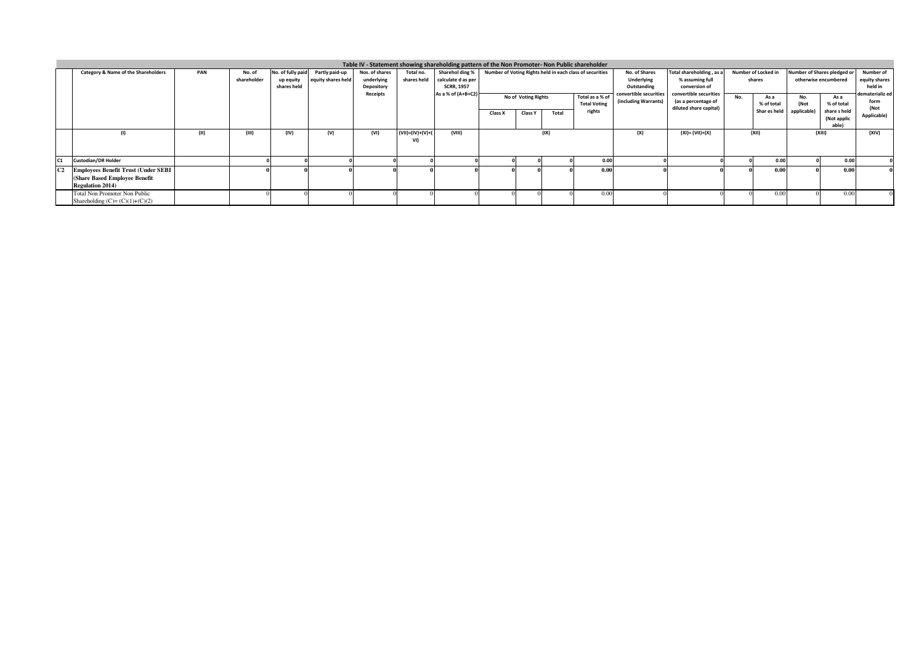| Table IV - Statement showing shareholding pattern of the Non Promoter- Non Public shareholder |     |             |                   |                    |                |                        |                    |         |                     |       |                                                          |                        |                                               |     |                     |                      |                             |                 |
|-----------------------------------------------------------------------------------------------|-----|-------------|-------------------|--------------------|----------------|------------------------|--------------------|---------|---------------------|-------|----------------------------------------------------------|------------------------|-----------------------------------------------|-----|---------------------|----------------------|-----------------------------|-----------------|
| Category & Name of the Shareholders                                                           | PAN | No. of      | No. of fully paid | Partly paid-up     | Nos. of shares | Total no.              | Sharehol ding %    |         |                     |       | Number of Voting Rights held in each class of securities | No. of Shares          | Total shareholding, as a                      |     | Number of Locked in |                      | Number of Shares pledged or | Number of       |
|                                                                                               |     | shareholder | up equity         | equity shares held | underlying     | shares held            | calculate d as per |         |                     |       |                                                          | Underlying             | % assuming full                               |     | shares              | otherwise encumbered |                             | equity shares   |
|                                                                                               |     |             | shares held       |                    | Depository     |                        | <b>SCRR, 1957</b>  |         |                     |       |                                                          | Outstanding            | conversion of                                 |     |                     |                      |                             | held in         |
|                                                                                               |     |             |                   |                    | Receipts       |                        | As a % of (A+B+C2) |         | No of Voting Rights |       | Total as a % of                                          | convertible securities | convertible securities                        | No. | As a                | No.                  | As a                        | dematerializ ed |
|                                                                                               |     |             |                   |                    |                |                        |                    |         |                     |       | <b>Total Voting</b>                                      | (including Warrants)   | (as a percentage of<br>diluted share capital) |     | % of total          | (Not                 | % of total                  | form<br>(Not    |
|                                                                                               |     |             |                   |                    |                |                        |                    | Class X | <b>Class Y</b>      | Total | rights                                                   |                        |                                               |     | Shar es held        | applicable           | share sheld                 | Applicable]     |
|                                                                                               |     |             |                   |                    |                |                        |                    |         |                     |       |                                                          |                        |                                               |     |                     |                      | (Not applic<br>able)        |                 |
|                                                                                               |     |             |                   |                    |                | $(VII) = (IV)+(V)+(V)$ |                    |         |                     |       |                                                          |                        | $(XI) = (VII)+(X)$                            |     |                     |                      |                             |                 |
|                                                                                               |     | (III)       | (IV)              | (V)                | (VI)           | VI)                    | (VIII)             |         |                     | (IX)  |                                                          | (X)                    |                                               |     | (XII)               |                      | (XIII)                      | (XIV)           |
|                                                                                               |     |             |                   |                    |                |                        |                    |         |                     |       |                                                          |                        |                                               |     |                     |                      |                             |                 |
|                                                                                               |     |             |                   |                    |                |                        |                    |         |                     |       |                                                          |                        |                                               |     |                     |                      |                             |                 |
| <b>Custodian/DR Holder</b>                                                                    |     |             |                   |                    |                |                        |                    |         |                     |       | 0.00                                                     |                        |                                               |     | 0.00                |                      | 0.00                        |                 |
| <b>Employees Benefit Trust (Under SEBI</b>                                                    |     |             |                   |                    |                |                        |                    |         |                     |       | 0.00                                                     |                        |                                               |     | 0.00                |                      | 0.00                        |                 |
| (Share Based Employee Benefit                                                                 |     |             |                   |                    |                |                        |                    |         |                     |       |                                                          |                        |                                               |     |                     |                      |                             |                 |
| <b>Regulation 2014)</b>                                                                       |     |             |                   |                    |                |                        |                    |         |                     |       |                                                          |                        |                                               |     |                     |                      |                             |                 |
| <b>Total Non Promoter Non Public</b>                                                          |     |             |                   |                    |                |                        |                    |         |                     |       | 0.00.                                                    |                        |                                               |     | 0.00                |                      | 0.00                        |                 |
| Shareholding $(C)=(C)(1)+(C)(2)$                                                              |     |             |                   |                    |                |                        |                    |         |                     |       |                                                          |                        |                                               |     |                     |                      |                             |                 |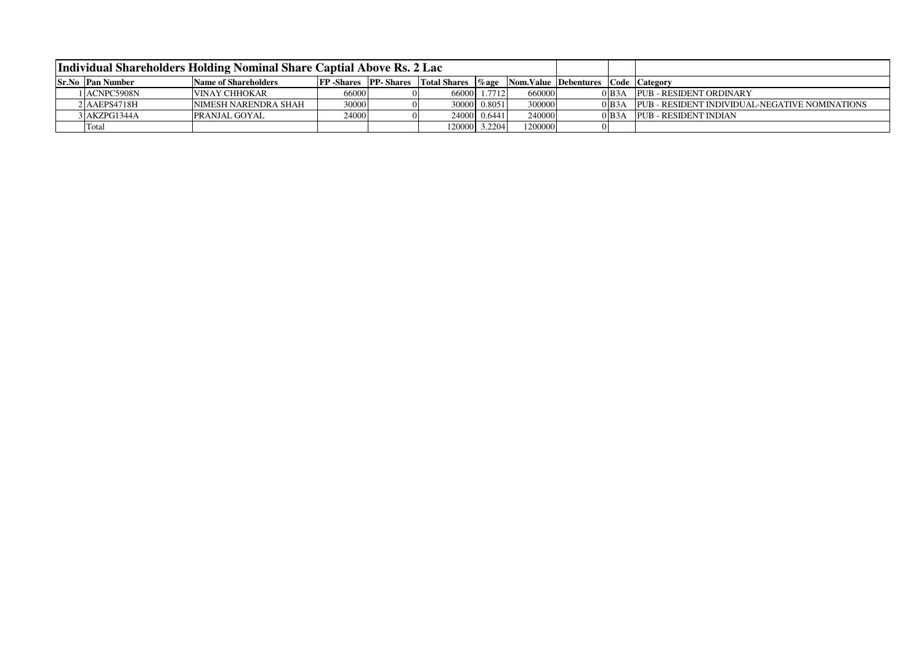|                         | Individual Shareholders Holding Nominal Share Captial Above Rs. 2 Lac |                                     |   |                     |              |         |                                                |                      |                                                |
|-------------------------|-----------------------------------------------------------------------|-------------------------------------|---|---------------------|--------------|---------|------------------------------------------------|----------------------|------------------------------------------------|
| <b>Sr.No Pan Number</b> | Name of Shareholders                                                  | <b>FP</b> -Shares <b>PP</b> -Shares |   | <b>Total Shares</b> |              |         | <b>Zage</b> Nom.Value Debentures Code Category |                      |                                                |
| 1 ACNPC5908N            | IVINAY CHHOKAR                                                        | 66000                               | 0 | 660001              | 1.7712       | 660000  |                                                | $0$ B <sub>3</sub> A | <b>PUB - RESIDENT ORDINARY</b>                 |
| 2 AAEPS4718H            | INIMESH NARENDRA SHAH                                                 | 30000                               |   |                     | 30000 0.8051 | 300000  |                                                | $0$ B <sub>3</sub> A | PUB - RESIDENT INDIVIDUAL-NEGATIVE NOMINATIONS |
| 3 JAKZPG1344A           | <b>PRANJAL GOYAL</b>                                                  | 24000                               |   |                     | 24000 0.6441 | 240000  |                                                | $0$ B <sub>3</sub> A | PUB - RESIDENT INDIAN                          |
| Tota                    |                                                                       |                                     |   | 120000              | 3.22041      | 1200000 |                                                |                      |                                                |